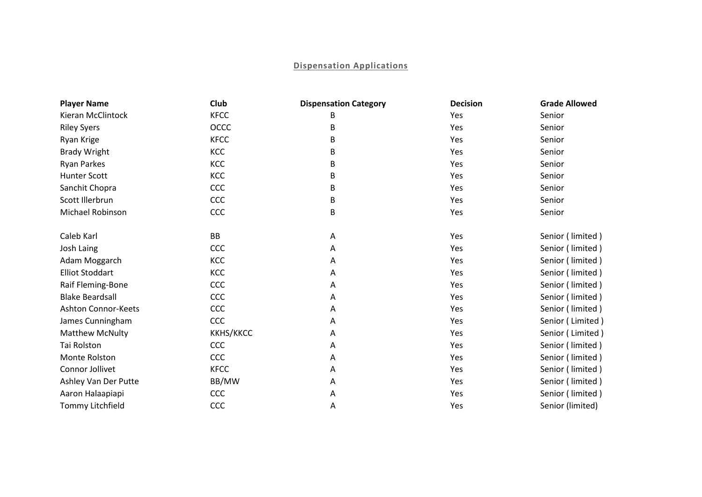## **Dispensation Applications**

| <b>Player Name</b>         | Club             | <b>Dispensation Category</b> | <b>Decision</b> | <b>Grade Allowed</b> |
|----------------------------|------------------|------------------------------|-----------------|----------------------|
| Kieran McClintock          | <b>KFCC</b>      | B                            | Yes             | Senior               |
| <b>Riley Syers</b>         | OCCC             | В                            | Yes             | Senior               |
| Ryan Krige                 | <b>KFCC</b>      | В                            | Yes             | Senior               |
| <b>Brady Wright</b>        | KCC              | В                            | Yes             | Senior               |
| <b>Ryan Parkes</b>         | KCC              | В                            | Yes             | Senior               |
| <b>Hunter Scott</b>        | KCC              | В                            | Yes             | Senior               |
| Sanchit Chopra             | CCC              | В                            | Yes             | Senior               |
| Scott Illerbrun            | CCC              | В                            | Yes             | Senior               |
| Michael Robinson           | CCC              | B                            | Yes             | Senior               |
| Caleb Karl                 | <b>BB</b>        | A                            | Yes             | Senior (limited)     |
| Josh Laing                 | CCC              | A                            | Yes             | Senior (limited)     |
| Adam Moggarch              | KCC              | Α                            | Yes             | Senior (limited)     |
| <b>Elliot Stoddart</b>     | KCC              | Α                            | Yes             | Senior (limited)     |
| Raif Fleming-Bone          | CCC              | Α                            | Yes             | Senior (limited)     |
| <b>Blake Beardsall</b>     | CCC              | Α                            | Yes             | Senior (limited)     |
| <b>Ashton Connor-Keets</b> | CCC              | Α                            | Yes             | Senior (limited)     |
| James Cunningham           | CCC              | А                            | Yes             | Senior (Limited)     |
| <b>Matthew McNulty</b>     | <b>KKHS/KKCC</b> | Α                            | Yes             | Senior (Limited)     |
| Tai Rolston                | CCC              | Α                            | Yes             | Senior (limited)     |
| Monte Rolston              | CCC              | Α                            | Yes             | Senior (limited)     |
| Connor Jollivet            | <b>KFCC</b>      | Α                            | Yes             | Senior (limited)     |
| Ashley Van Der Putte       | BB/MW            | Α                            | Yes             | Senior (limited)     |
| Aaron Halaapiapi           | CCC              | Α                            | Yes             | Senior (limited)     |
| Tommy Litchfield           | CCC              | Α                            | Yes             | Senior (limited)     |